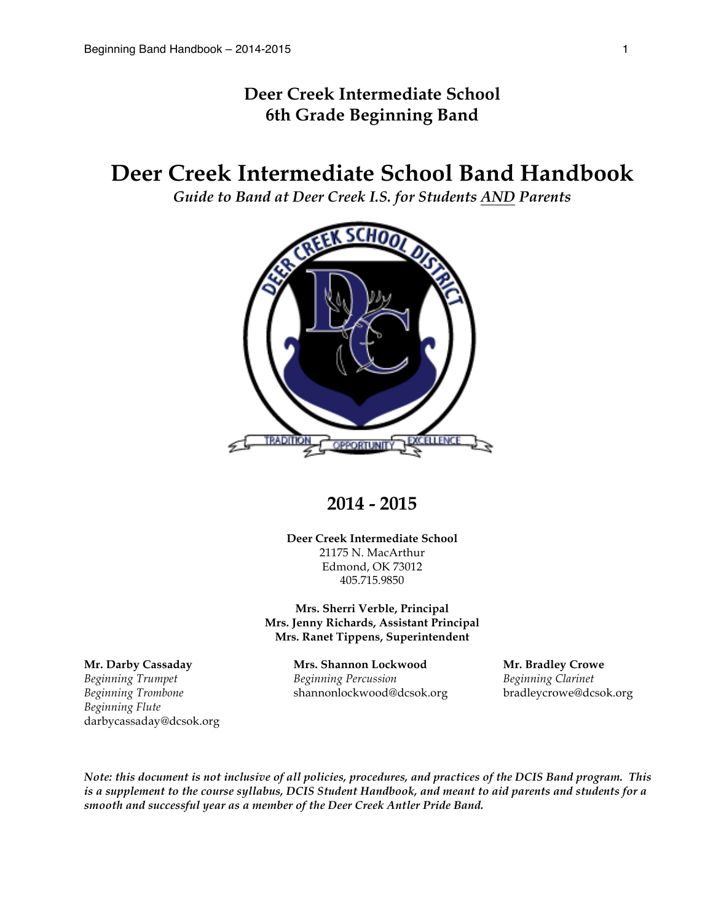# **Deer Creek Intermediate School 6th Grade Beginning Band**

**Deer Creek Intermediate School Band Handbook**

*Guide to Band at Deer Creek I.S. for Students AND Parents*



**2014 - 2015**

**Deer Creek Intermediate School** 21175 N. MacArthur Edmond, OK 73012 405.715.9850

**Mrs. Sherri Verble, Principal Mrs. Jenny Richards, Assistant Principal Mrs. Ranet Tippens, Superintendent**

*Beginning Flute* darbycassaday@dcsok.org

**Mr. Darby Cassaday Mrs. Shannon Lockwood Mr. Bradley Crowe** *Beginning Trumpet Beginning Percussion Beginning Clarinet Beginning Trombone* shannonlockwood@dcsok.org bradleycrowe@dcsok.org

*Note: this document is not inclusive of all policies, procedures, and practices of the DCIS Band program. This is a supplement to the course syllabus, DCIS Student Handbook, and meant to aid parents and students for a smooth and successful year as a member of the Deer Creek Antler Pride Band.*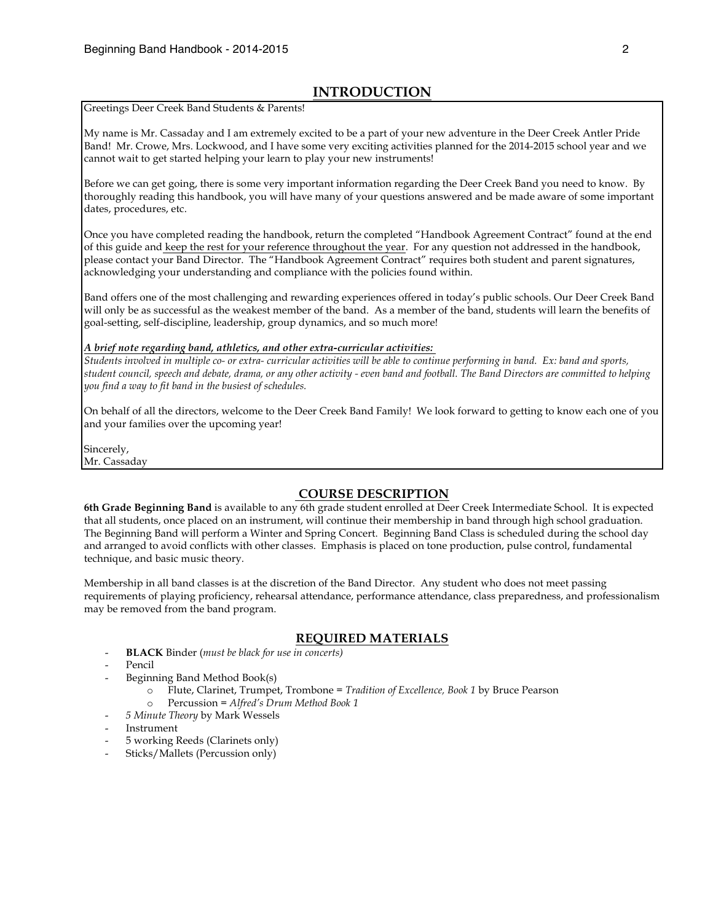# **INTRODUCTION**

Greetings Deer Creek Band Students & Parents!

My name is Mr. Cassaday and I am extremely excited to be a part of your new adventure in the Deer Creek Antler Pride Band! Mr. Crowe, Mrs. Lockwood, and I have some very exciting activities planned for the 2014-2015 school year and we cannot wait to get started helping your learn to play your new instruments!

Before we can get going, there is some very important information regarding the Deer Creek Band you need to know. By thoroughly reading this handbook, you will have many of your questions answered and be made aware of some important dates, procedures, etc.

Once you have completed reading the handbook, return the completed "Handbook Agreement Contract" found at the end of this guide and keep the rest for your reference throughout the year. For any question not addressed in the handbook, please contact your Band Director. The "Handbook Agreement Contract" requires both student and parent signatures, acknowledging your understanding and compliance with the policies found within.

Band offers one of the most challenging and rewarding experiences offered in today's public schools. Our Deer Creek Band will only be as successful as the weakest member of the band. As a member of the band, students will learn the benefits of goal-setting, self-discipline, leadership, group dynamics, and so much more!

#### *A brief note regarding band, athletics, and other extra-curricular activities:*

*Students involved in multiple co- or extra- curricular activities will be able to continue performing in band. Ex: band and sports, student council, speech and debate, drama, or any other activity - even band and football. The Band Directors are committed to helping you find a way to fit band in the busiest of schedules.*

On behalf of all the directors, welcome to the Deer Creek Band Family! We look forward to getting to know each one of you and your families over the upcoming year!

Sincerely,

Mr. Cassaday

#### **COURSE DESCRIPTION**

**6th Grade Beginning Band** is available to any 6th grade student enrolled at Deer Creek Intermediate School. It is expected that all students, once placed on an instrument, will continue their membership in band through high school graduation. The Beginning Band will perform a Winter and Spring Concert. Beginning Band Class is scheduled during the school day and arranged to avoid conflicts with other classes. Emphasis is placed on tone production, pulse control, fundamental technique, and basic music theory.

Membership in all band classes is at the discretion of the Band Director. Any student who does not meet passing requirements of playing proficiency, rehearsal attendance, performance attendance, class preparedness, and professionalism may be removed from the band program.

# **REQUIRED MATERIALS**

- **BLACK** Binder (*must be black for use in concerts)*
- Pencil
	- Beginning Band Method Book(s)
		- o Flute, Clarinet, Trumpet, Trombone = *Tradition of Excellence, Book 1* by Bruce Pearson
		- o Percussion = *Alfred's Drum Method Book 1*
- *5 Minute Theory* by Mark Wessels
- **Instrument**
- 5 working Reeds (Clarinets only)
- Sticks/Mallets (Percussion only)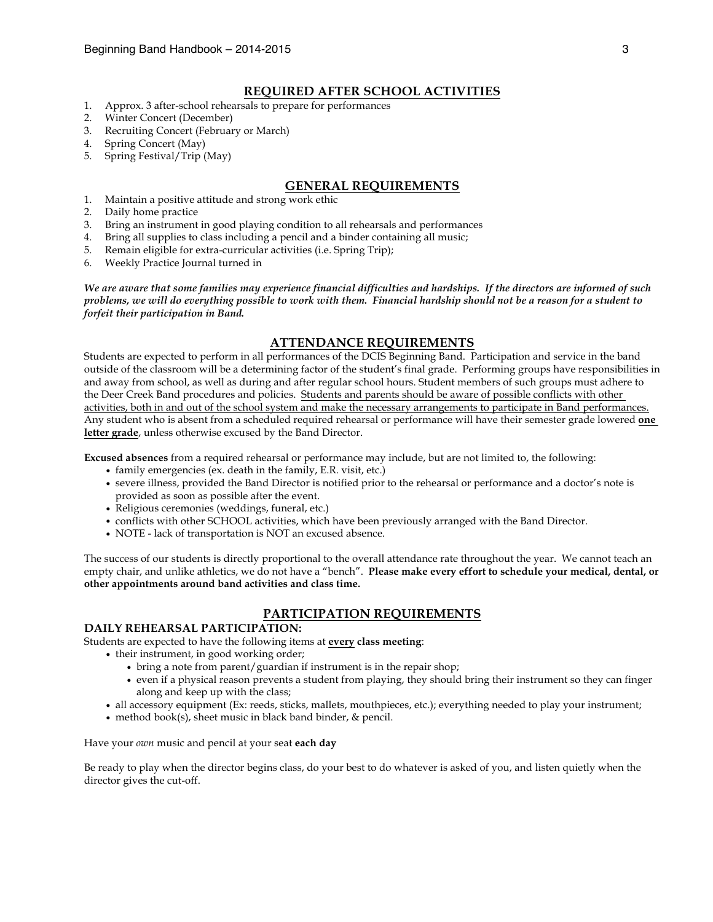### **REQUIRED AFTER SCHOOL ACTIVITIES**

- 1. Approx. 3 after-school rehearsals to prepare for performances
- 2. Winter Concert (December)
- 3. Recruiting Concert (February or March)
- 4. Spring Concert (May)
- 5. Spring Festival/Trip (May)

# **GENERAL REQUIREMENTS**

- 1. Maintain a positive attitude and strong work ethic
- 2. Daily home practice
- 3. Bring an instrument in good playing condition to all rehearsals and performances
- 4. Bring all supplies to class including a pencil and a binder containing all music;
- 5. Remain eligible for extra-curricular activities (i.e. Spring Trip);
- 6. Weekly Practice Journal turned in

*We are aware that some families may experience financial difficulties and hardships. If the directors are informed of such problems, we will do everything possible to work with them. Financial hardship should not be a reason for a student to forfeit their participation in Band.*

# **ATTENDANCE REQUIREMENTS**

Students are expected to perform in all performances of the DCIS Beginning Band. Participation and service in the band outside of the classroom will be a determining factor of the student's final grade. Performing groups have responsibilities in and away from school, as well as during and after regular school hours. Student members of such groups must adhere to the Deer Creek Band procedures and policies. Students and parents should be aware of possible conflicts with other activities, both in and out of the school system and make the necessary arrangements to participate in Band performances. Any student who is absent from a scheduled required rehearsal or performance will have their semester grade lowered **one letter grade**, unless otherwise excused by the Band Director.

**Excused absences** from a required rehearsal or performance may include, but are not limited to, the following:

- family emergencies (ex. death in the family, E.R. visit, etc.)
- severe illness, provided the Band Director is notified prior to the rehearsal or performance and a doctor's note is provided as soon as possible after the event.
- Religious ceremonies (weddings, funeral, etc.)
- conflicts with other SCHOOL activities, which have been previously arranged with the Band Director.
- NOTE lack of transportation is NOT an excused absence.

The success of our students is directly proportional to the overall attendance rate throughout the year. We cannot teach an empty chair, and unlike athletics, we do not have a "bench". **Please make every effort to schedule your medical, dental, or other appointments around band activities and class time.**

# **PARTICIPATION REQUIREMENTS**

## **DAILY REHEARSAL PARTICIPATION:**

Students are expected to have the following items at **every class meeting**:

- their instrument, in good working order;
	- bring a note from parent/guardian if instrument is in the repair shop;
	- even if a physical reason prevents a student from playing, they should bring their instrument so they can finger along and keep up with the class;
	- all accessory equipment (Ex: reeds, sticks, mallets, mouthpieces, etc.); everything needed to play your instrument;
	- method book(s), sheet music in black band binder, & pencil.

Have your *own* music and pencil at your seat **each day**

Be ready to play when the director begins class, do your best to do whatever is asked of you, and listen quietly when the director gives the cut-off.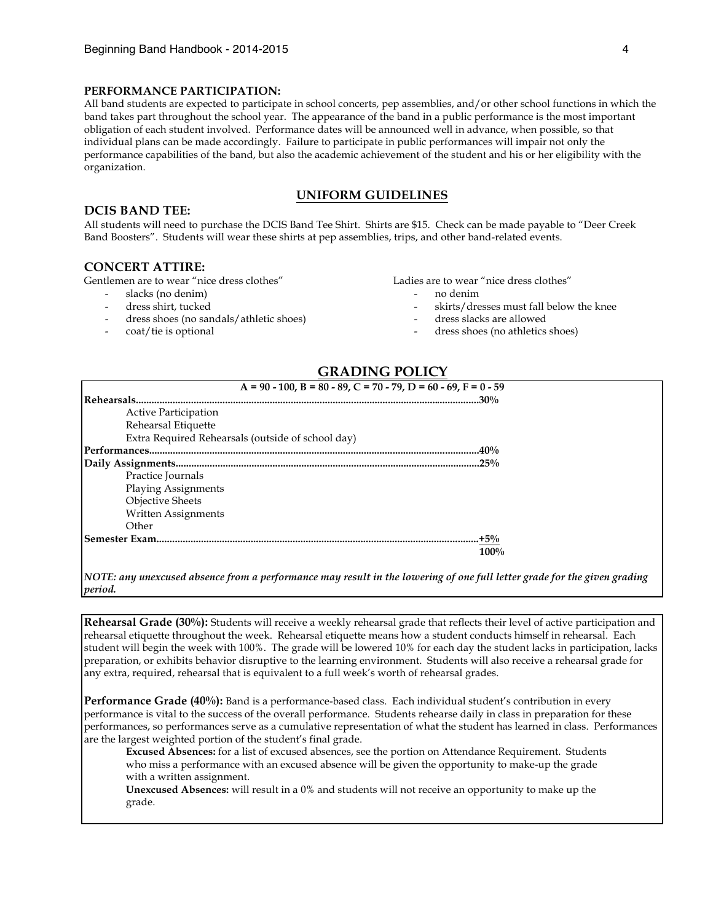## **PERFORMANCE PARTICIPATION:**

All band students are expected to participate in school concerts, pep assemblies, and/or other school functions in which the band takes part throughout the school year. The appearance of the band in a public performance is the most important obligation of each student involved. Performance dates will be announced well in advance, when possible, so that individual plans can be made accordingly. Failure to participate in public performances will impair not only the performance capabilities of the band, but also the academic achievement of the student and his or her eligibility with the organization.

# **UNIFORM GUIDELINES**

# **DCIS BAND TEE:**

All students will need to purchase the DCIS Band Tee Shirt. Shirts are \$15. Check can be made payable to "Deer Creek Band Boosters".Students will wear these shirts at pep assemblies, trips, and other band-related events.

## **CONCERT ATTIRE:**

Gentlemen are to wear "nice dress clothes"

- slacks (no denim)
- dress shirt, tucked
- dress shoes (no sandals/athletic shoes)
- coat/tie is optional

Ladies are to wear "nice dress clothes"

- no denim
- skirts/dresses must fall below the knee
- dress slacks are allowed
- dress shoes (no athletics shoes)

# **GRADING POLICY**

| $A = 90 - 100$ , $B = 80 - 89$ , $C = 70 - 79$ , $D = 60 - 69$ , $F = 0 - 59$ |
|-------------------------------------------------------------------------------|
| Rehearsals.<br>$.30\%$                                                        |
| <b>Active Participation</b>                                                   |
| Rehearsal Etiquette                                                           |
| Extra Required Rehearsals (outside of school day)                             |
| .40%                                                                          |
| 25%                                                                           |
| Practice Journals                                                             |
| <b>Playing Assignments</b>                                                    |
| Objective Sheets                                                              |
| Written Assignments                                                           |
| Other                                                                         |
| ………………………………………………………………………<br><b>Semester Exam.</b><br>.+5%                  |
| 100%                                                                          |
|                                                                               |

*NOTE: any unexcused absence from a performance may result in the lowering of one full letter grade for the given grading period.*

**Rehearsal Grade (30%):** Students will receive a weekly rehearsal grade that reflects their level of active participation and rehearsal etiquette throughout the week. Rehearsal etiquette means how a student conducts himself in rehearsal. Each student will begin the week with 100%. The grade will be lowered 10% for each day the student lacks in participation, lacks preparation, or exhibits behavior disruptive to the learning environment. Students will also receive a rehearsal grade for any extra, required, rehearsal that is equivalent to a full week's worth of rehearsal grades.

**Performance Grade (40%):** Band is a performance-based class. Each individual student's contribution in every performance is vital to the success of the overall performance. Students rehearse daily in class in preparation for these performances, so performances serve as a cumulative representation of what the student has learned in class. Performances are the largest weighted portion of the student's final grade.

**Excused Absences:** for a list of excused absences, see the portion on Attendance Requirement. Students who miss a performance with an excused absence will be given the opportunity to make-up the grade with a written assignment.

**Unexcused Absences:** will result in a 0% and students will not receive an opportunity to make up the grade.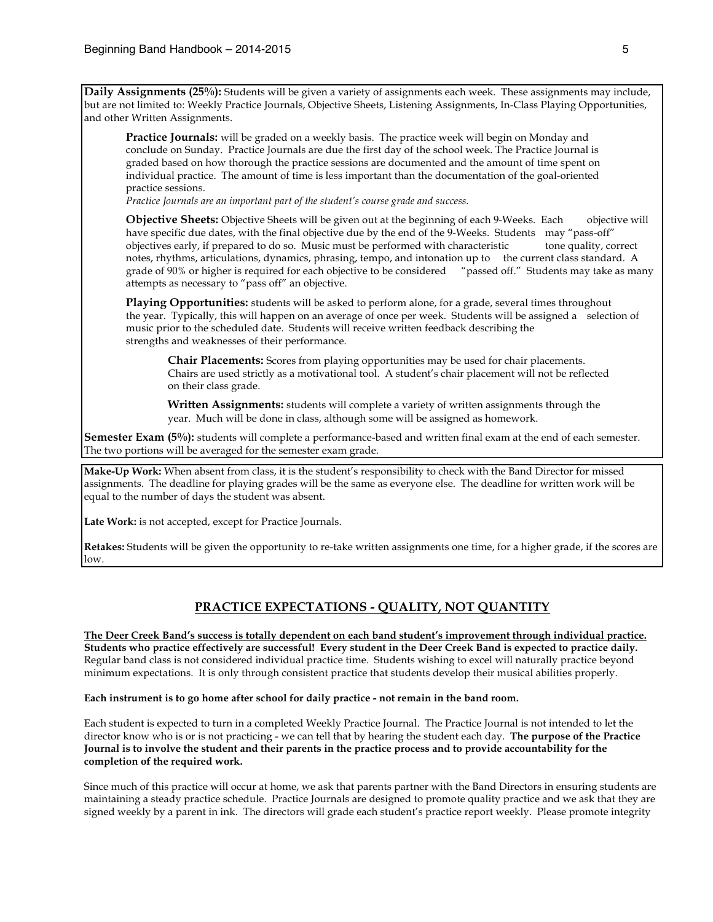**Daily Assignments (25%):** Students will be given a variety of assignments each week. These assignments may include, but are not limited to: Weekly Practice Journals, Objective Sheets, Listening Assignments, In-Class Playing Opportunities, and other Written Assignments.

**Practice Journals:** will be graded on a weekly basis. The practice week will begin on Monday and conclude on Sunday. Practice Journals are due the first day of the school week. The Practice Journal is graded based on how thorough the practice sessions are documented and the amount of time spent on individual practice. The amount of time is less important than the documentation of the goal-oriented practice sessions.

*Practice Journals are an important part of the student's course grade and success.* 

**Objective Sheets:** Objective Sheets will be given out at the beginning of each 9-Weeks. Each objective will have specific due dates, with the final objective due by the end of the 9-Weeks. Students may "pass-off" objectives early, if prepared to do so. Music must be performed with characteristic tone quality, correct notes, rhythms, articulations, dynamics, phrasing, tempo, and intonation up to the current class standard. A grade of 90% or higher is required for each objective to be considered "passed off." Students may take as many attempts as necessary to "pass off" an objective.

**Playing Opportunities:** students will be asked to perform alone, for a grade, several times throughout the year. Typically, this will happen on an average of once per week. Students will be assigned a selection of music prior to the scheduled date. Students will receive written feedback describing the strengths and weaknesses of their performance.

**Chair Placements:** Scores from playing opportunities may be used for chair placements. Chairs are used strictly as a motivational tool. A student's chair placement will not be reflected on their class grade.

**Written Assignments:** students will complete a variety of written assignments through the year. Much will be done in class, although some will be assigned as homework.

**Semester Exam (5%):** students will complete a performance-based and written final exam at the end of each semester. The two portions will be averaged for the semester exam grade.

**Make-Up Work:** When absent from class, it is the student's responsibility to check with the Band Director for missed assignments. The deadline for playing grades will be the same as everyone else. The deadline for written work will be equal to the number of days the student was absent.

**Late Work:** is not accepted, except for Practice Journals.

**Retakes:** Students will be given the opportunity to re-take written assignments one time, for a higher grade, if the scores are low.

# **PRACTICE EXPECTATIONS - QUALITY, NOT QUANTITY**

**The Deer Creek Band's success is totally dependent on each band student's improvement through individual practice. Students who practice effectively are successful! Every student in the Deer Creek Band is expected to practice daily.**  Regular band class is not considered individual practice time. Students wishing to excel will naturally practice beyond minimum expectations. It is only through consistent practice that students develop their musical abilities properly.

#### **Each instrument is to go home after school for daily practice - not remain in the band room.**

Each student is expected to turn in a completed Weekly Practice Journal. The Practice Journal is not intended to let the director know who is or is not practicing - we can tell that by hearing the student each day. **The purpose of the Practice Journal is to involve the student and their parents in the practice process and to provide accountability for the completion of the required work.**

Since much of this practice will occur at home, we ask that parents partner with the Band Directors in ensuring students are maintaining a steady practice schedule. Practice Journals are designed to promote quality practice and we ask that they are signed weekly by a parent in ink. The directors will grade each student's practice report weekly. Please promote integrity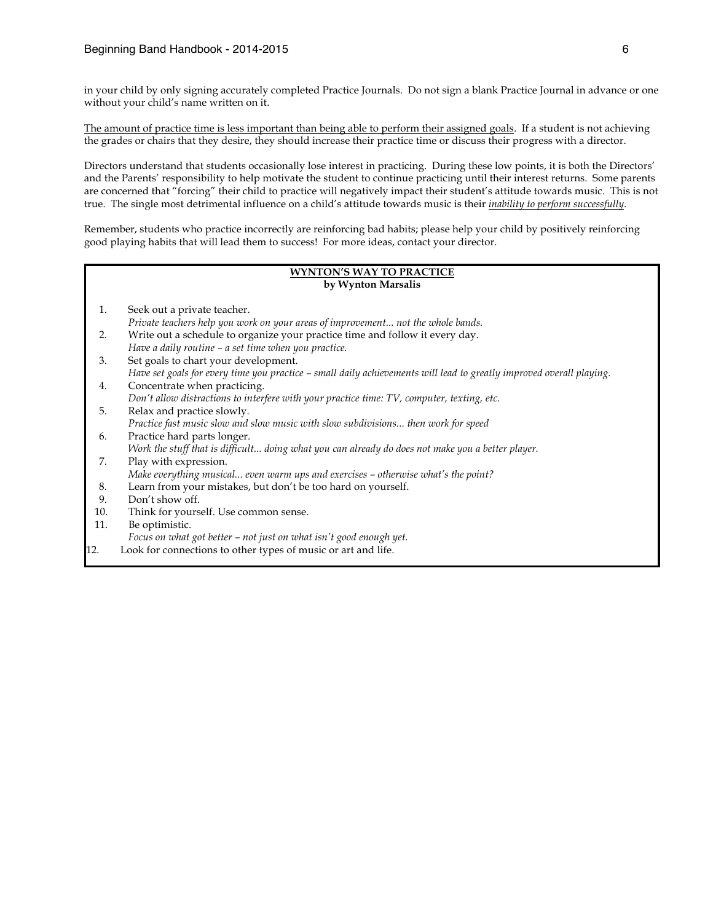in your child by only signing accurately completed Practice Journals. Do not sign a blank Practice Journal in advance or one without your child's name written on it.

The amount of practice time is less important than being able to perform their assigned goals. If a student is not achieving the grades or chairs that they desire, they should increase their practice time or discuss their progress with a director.

Directors understand that students occasionally lose interest in practicing. During these low points, it is both the Directors' and the Parents' responsibility to help motivate the student to continue practicing until their interest returns. Some parents are concerned that "forcing" their child to practice will negatively impact their student's attitude towards music. This is not true. The single most detrimental influence on a child's attitude towards music is their *inability to perform successfully*.

Remember, students who practice incorrectly are reinforcing bad habits; please help your child by positively reinforcing good playing habits that will lead them to success! For more ideas, contact your director.

# **PRIVATE LESSONS by Wynton Marsalis WYNTON'S WAY TO PRACTICE**

| 1.  | Seek out a private teacher.                                                                                          |
|-----|----------------------------------------------------------------------------------------------------------------------|
|     | Private teachers help you work on your areas of improvement not the whole bands.                                     |
| 2.  | Write out a schedule to organize your practice time and follow it every day.                                         |
|     | Have a daily routine $-$ a set time when you practice.                                                               |
| 3.  | Set goals to chart your development.                                                                                 |
|     | Have set goals for every time you practice - small daily achievements will lead to greatly improved overall playing. |
| 4.  | Concentrate when practicing.                                                                                         |
|     | Don't allow distractions to interfere with your practice time: TV, computer, texting, etc.                           |
| 5.  | Relax and practice slowly.                                                                                           |
|     | Practice fast music slow and slow music with slow subdivisions then work for speed                                   |
| 6.  | Practice hard parts longer.                                                                                          |
|     | Work the stuff that is difficult doing what you can already do does not make you a better player.                    |
| 7.  | Play with expression.                                                                                                |
|     | Make everything musical even warm ups and exercises - otherwise what's the point?                                    |
| 8.  | Learn from your mistakes, but don't be too hard on yourself.                                                         |
| 9.  | Don't show off.                                                                                                      |
| 10. | Think for yourself. Use common sense.                                                                                |
| 11. | Be optimistic.                                                                                                       |
|     | Focus on what got better - not just on what isn't good enough yet.                                                   |
| 12. | Look for connections to other types of music or art and life.                                                        |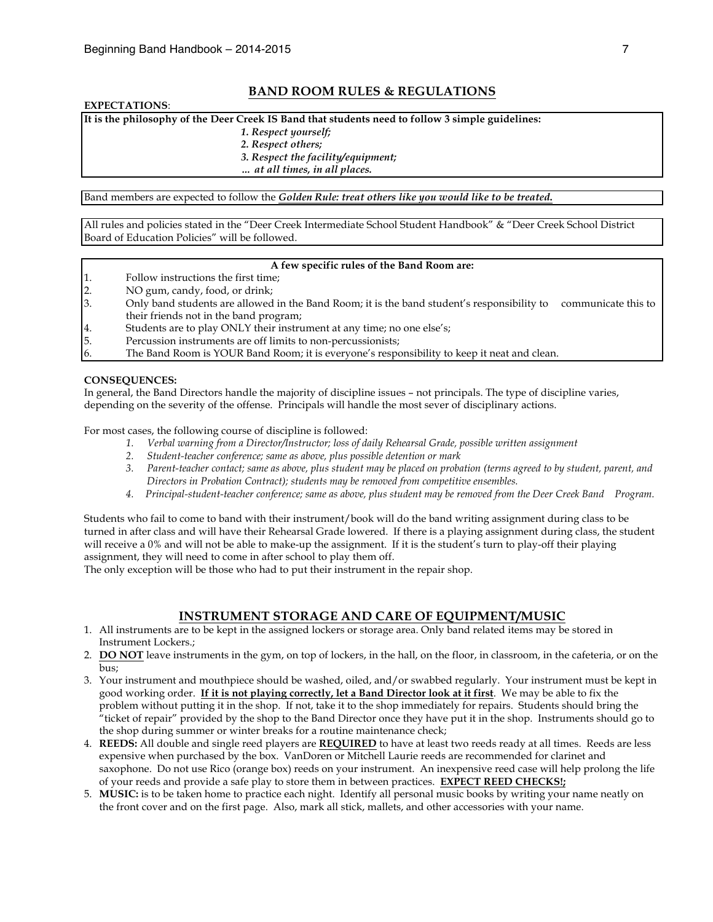# **BAND ROOM RULES & REGULATIONS**

#### **EXPECTATIONS**:

# **It is the philosophy of the Deer Creek IS Band that students need to follow 3 simple guidelines:**

#### *1. Respect yourself;*

- *2. Respect others;*
- *3. Respect the facility/equipment;*
- *… at all times, in all places.*

Band members are expected to follow the *Golden Rule: treat others like you would like to be treated***.**

All rules and policies stated in the "Deer Creek Intermediate School Student Handbook" & "Deer Creek School District Board of Education Policies" will be followed.

## **A few specific rules of the Band Room are:**

- 1. Follow instructions the first time;
- 2. NO gum, candy, food, or drink;
- 3. Only band students are allowed in the Band Room; it is the band student's responsibility to communicate this to their friends not in the band program;
- 4. Students are to play ONLY their instrument at any time; no one else's;
- 5. Percussion instruments are off limits to non-percussionists;
- 6. The Band Room is YOUR Band Room; it is everyone's responsibility to keep it neat and clean.

#### **CONSEQUENCES:**

In general, the Band Directors handle the majority of discipline issues – not principals. The type of discipline varies, depending on the severity of the offense. Principals will handle the most sever of disciplinary actions.

For most cases, the following course of discipline is followed:

- *1. Verbal warning from a Director/Instructor; loss of daily Rehearsal Grade, possible written assignment*
- *2. Student-teacher conference; same as above, plus possible detention or mark*
- *3. Parent-teacher contact; same as above, plus student may be placed on probation (terms agreed to by student, parent, and Directors in Probation Contract); students may be removed from competitive ensembles.*
- *4. Principal-student-teacher conference; same as above, plus student may be removed from the Deer Creek Band Program.*

Students who fail to come to band with their instrument/book will do the band writing assignment during class to be turned in after class and will have their Rehearsal Grade lowered. If there is a playing assignment during class, the student will receive a 0% and will not be able to make-up the assignment. If it is the student's turn to play-off their playing assignment, they will need to come in after school to play them off.

The only exception will be those who had to put their instrument in the repair shop.

# **INSTRUMENT STORAGE AND CARE OF EQUIPMENT/MUSIC**

- 1. All instruments are to be kept in the assigned lockers or storage area. Only band related items may be stored in Instrument Lockers.;
- 2. **DO NOT** leave instruments in the gym, on top of lockers, in the hall, on the floor, in classroom, in the cafeteria, or on the bus;
- 3. Your instrument and mouthpiece should be washed, oiled, and/or swabbed regularly. Your instrument must be kept in good working order. **If it is not playing correctly, let a Band Director look at it first**. We may be able to fix the problem without putting it in the shop. If not, take it to the shop immediately for repairs. Students should bring the "ticket of repair" provided by the shop to the Band Director once they have put it in the shop. Instruments should go to the shop during summer or winter breaks for a routine maintenance check;
- 4. **REEDS:** All double and single reed players are **REQUIRED** to have at least two reeds ready at all times. Reeds are less expensive when purchased by the box. VanDoren or Mitchell Laurie reeds are recommended for clarinet and saxophone. Do not use Rico (orange box) reeds on your instrument. An inexpensive reed case will help prolong the life of your reeds and provide a safe play to store them in between practices. **EXPECT REED CHECKS!;**
- 5. **MUSIC:** is to be taken home to practice each night. Identify all personal music books by writing your name neatly on the front cover and on the first page. Also, mark all stick, mallets, and other accessories with your name.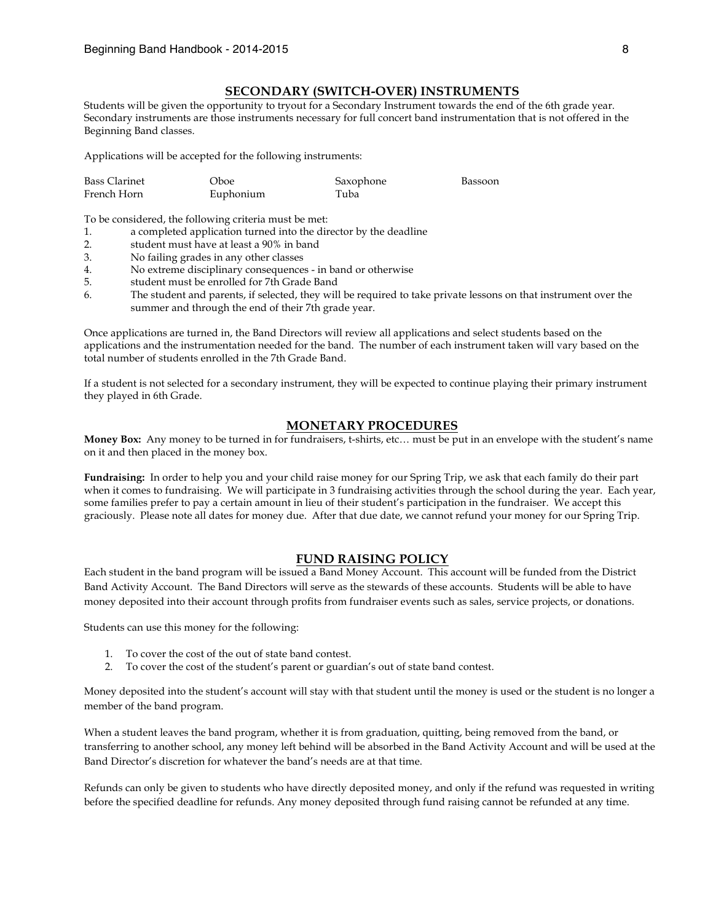### **SECONDARY (SWITCH-OVER) INSTRUMENTS**

Students will be given the opportunity to tryout for a Secondary Instrument towards the end of the 6th grade year. Secondary instruments are those instruments necessary for full concert band instrumentation that is not offered in the Beginning Band classes.

Applications will be accepted for the following instruments:

| <b>Bass Clarinet</b> | Oboe      | Saxophone | Bassoon |
|----------------------|-----------|-----------|---------|
| French Horn          | Euphonium | Tuba      |         |

To be considered, the following criteria must be met:

- 1. a completed application turned into the director by the deadline
- 2. student must have at least a 90% in band
- 3. No failing grades in any other classes
- 4. No extreme disciplinary consequences in band or otherwise
- 5. student must be enrolled for 7th Grade Band
- 6. The student and parents, if selected, they will be required to take private lessons on that instrument over the summer and through the end of their 7th grade year.

Once applications are turned in, the Band Directors will review all applications and select students based on the applications and the instrumentation needed for the band. The number of each instrument taken will vary based on the total number of students enrolled in the 7th Grade Band.

If a student is not selected for a secondary instrument, they will be expected to continue playing their primary instrument they played in 6th Grade.

## **MONETARY PROCEDURES**

**Money Box:** Any money to be turned in for fundraisers, t-shirts, etc… must be put in an envelope with the student's name on it and then placed in the money box.

**Fundraising:** In order to help you and your child raise money for our Spring Trip, we ask that each family do their part when it comes to fundraising. We will participate in 3 fundraising activities through the school during the year. Each year, some families prefer to pay a certain amount in lieu of their student's participation in the fundraiser. We accept this graciously. Please note all dates for money due. After that due date, we cannot refund your money for our Spring Trip.

#### **FUND RAISING POLICY**

Each student in the band program will be issued a Band Money Account. This account will be funded from the District Band Activity Account. The Band Directors will serve as the stewards of these accounts. Students will be able to have money deposited into their account through profits from fundraiser events such as sales, service projects, or donations.

Students can use this money for the following:

- 1. To cover the cost of the out of state band contest.
- 2. To cover the cost of the student's parent or guardian's out of state band contest.

Money deposited into the student's account will stay with that student until the money is used or the student is no longer a member of the band program.

When a student leaves the band program, whether it is from graduation, quitting, being removed from the band, or transferring to another school, any money left behind will be absorbed in the Band Activity Account and will be used at the Band Director's discretion for whatever the band's needs are at that time.

Refunds can only be given to students who have directly deposited money, and only if the refund was requested in writing before the specified deadline for refunds. Any money deposited through fund raising cannot be refunded at any time.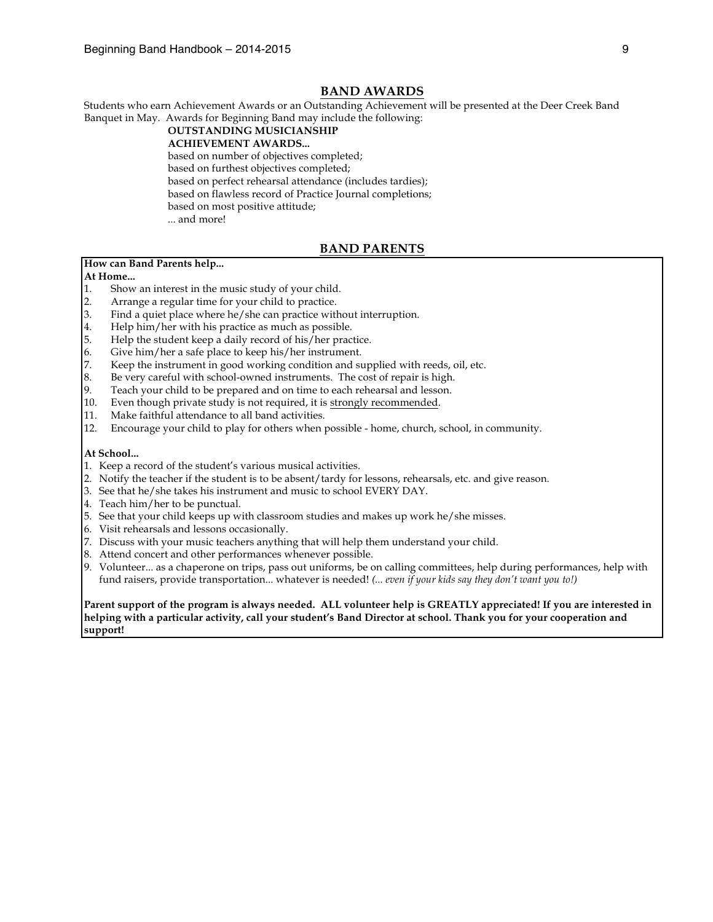## **BAND AWARDS**

Students who earn Achievement Awards or an Outstanding Achievement will be presented at the Deer Creek Band Banquet in May. Awards for Beginning Band may include the following:

# **OUTSTANDING MUSICIANSHIP**

**ACHIEVEMENT AWARDS...**

based on number of objectives completed;

based on furthest objectives completed;

based on perfect rehearsal attendance (includes tardies);

based on flawless record of Practice Journal completions;

based on most positive attitude;

... and more!

# **BAND PARENTS**

#### **How can Band Parents help...**

#### **At Home...**

- 1. Show an interest in the music study of your child.
- 2. Arrange a regular time for your child to practice.<br>3. Find a quiet place where he/she can practice with
- Find a quiet place where he/she can practice without interruption.
- 4. Help him/her with his practice as much as possible.<br>5. Help the student keep a daily record of his/her prac
- Help the student keep a daily record of his/her practice.
- 6. Give him/her a safe place to keep his/her instrument.<br>7. Keep the instrument in good working condition and su
- Keep the instrument in good working condition and supplied with reeds, oil, etc.
- 8. Be very careful with school-owned instruments. The cost of repair is high.<br>9. Teach your child to be prepared and on time to each rehearsal and lesson.
- Teach your child to be prepared and on time to each rehearsal and lesson.
- 10. Even though private study is not required, it is strongly recommended.
- 11. Make faithful attendance to all band activities.
- 12. Encourage your child to play for others when possible home, church, school, in community.

## **At School...**

- 1. Keep a record of the student's various musical activities.
- 2. Notify the teacher if the student is to be absent/tardy for lessons, rehearsals, etc. and give reason.
- 3. See that he/she takes his instrument and music to school EVERY DAY.
- 4. Teach him/her to be punctual.
- 5. See that your child keeps up with classroom studies and makes up work he/she misses.
- 6. Visit rehearsals and lessons occasionally.
- 7. Discuss with your music teachers anything that will help them understand your child.
- 8. Attend concert and other performances whenever possible.
- 9. Volunteer... as a chaperone on trips, pass out uniforms, be on calling committees, help during performances, help with fund raisers, provide transportation... whatever is needed! *(... even if your kids say they don't want you to!)*

**Parent support of the program is always needed. ALL volunteer help is GREATLY appreciated! If you are interested in helping with a particular activity, call your student's Band Director at school. Thank you for your cooperation and support!**